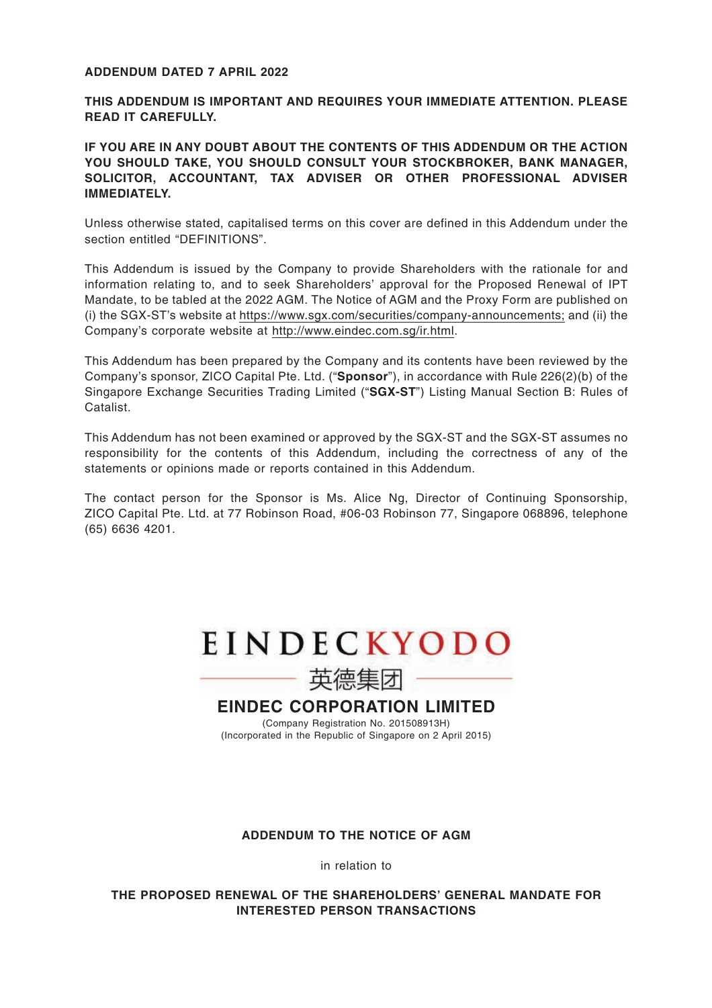#### **ADDENDUM DATED 7 APRIL 2022**

**THIS ADDENDUM IS IMPORTANT AND REQUIRES YOUR IMMEDIATE ATTENTION. PLEASE READ IT CAREFULLY.**

## **IF YOU ARE IN ANY DOUBT ABOUT THE CONTENTS OF THIS ADDENDUM OR THE ACTION YOU SHOULD TAKE, YOU SHOULD CONSULT YOUR STOCKBROKER, BANK MANAGER, SOLICITOR, ACCOUNTANT, TAX ADVISER OR OTHER PROFESSIONAL ADVISER IMMEDIATELY.**

Unless otherwise stated, capitalised terms on this cover are defined in this Addendum under the section entitled "DEFINITIONS".

This Addendum is issued by the Company to provide Shareholders with the rationale for and information relating to, and to seek Shareholders' approval for the Proposed Renewal of IPT Mandate, to be tabled at the 2022 AGM. The Notice of AGM and the Proxy Form are published on (i) the SGX-ST's website at https://www.sgx.com/securities/company-announcements; and (ii) the Company's corporate website at http://www.eindec.com.sg/ir.html.

This Addendum has been prepared by the Company and its contents have been reviewed by the Company's sponsor, ZICO Capital Pte. Ltd. ("**Sponsor**"), in accordance with Rule 226(2)(b) of the Singapore Exchange Securities Trading Limited ("**SGX-ST**") Listing Manual Section B: Rules of Catalist.

This Addendum has not been examined or approved by the SGX-ST and the SGX-ST assumes no responsibility for the contents of this Addendum, including the correctness of any of the statements or opinions made or reports contained in this Addendum.

The contact person for the Sponsor is Ms. Alice Ng, Director of Continuing Sponsorship, ZICO Capital Pte. Ltd. at 77 Robinson Road, #06-03 Robinson 77, Singapore 068896, telephone (65) 6636 4201.



英德集团

**EINDEC CORPORATION LIMITED**

(Company Registration No. 201508913H) (Incorporated in the Republic of Singapore on 2 April 2015)

## **ADDENDUM TO THE NOTICE OF AGM**

in relation to

**THE PROPOSED RENEWAL OF THE SHAREHOLDERS' GENERAL MANDATE FOR INTERESTED PERSON TRANSACTIONS**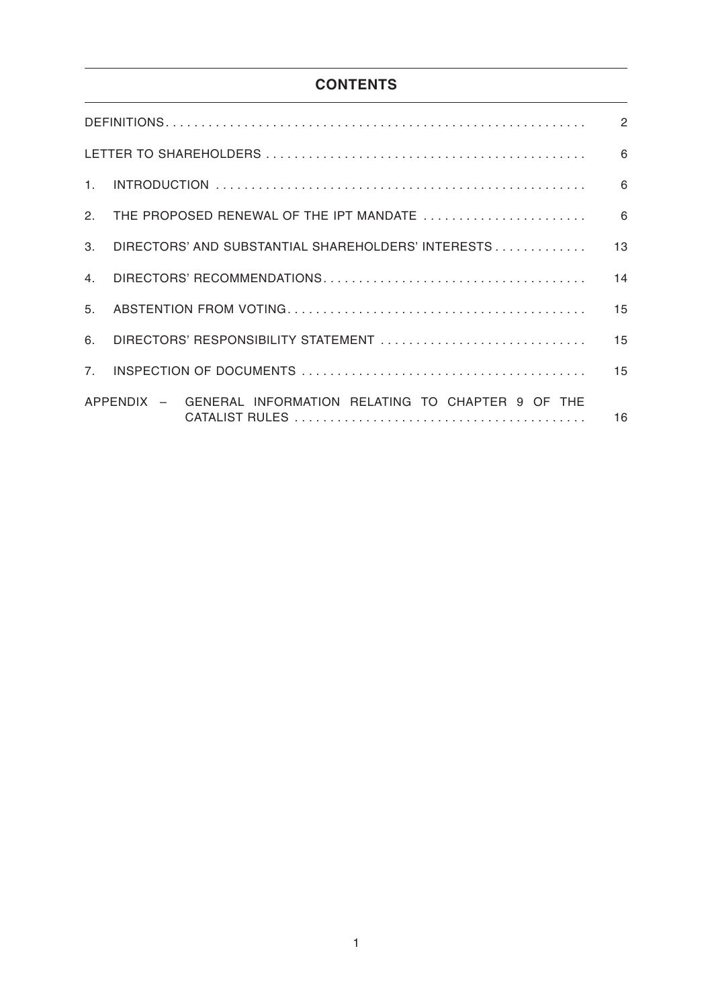# **CONTENTS**

|                |                                                             | $\overline{2}$ |
|----------------|-------------------------------------------------------------|----------------|
|                |                                                             | 6              |
| 1 <sup>1</sup> |                                                             | 6              |
| $\mathcal{P}$  | THE PROPOSED RENEWAL OF THE IPT MANDATE                     | 6              |
| $3_{-}$        | DIRECTORS' AND SUBSTANTIAL SHAREHOLDERS' INTERESTS          | 13             |
| 4 <sup>1</sup> |                                                             | 14             |
| 5 <sub>1</sub> |                                                             | 15             |
| 6.             | DIRECTORS' RESPONSIBILITY STATEMENT                         | 15             |
| 7.             |                                                             | 15             |
|                | APPENDIX - GENERAL INFORMATION RELATING TO CHAPTER 9 OF THE | 16             |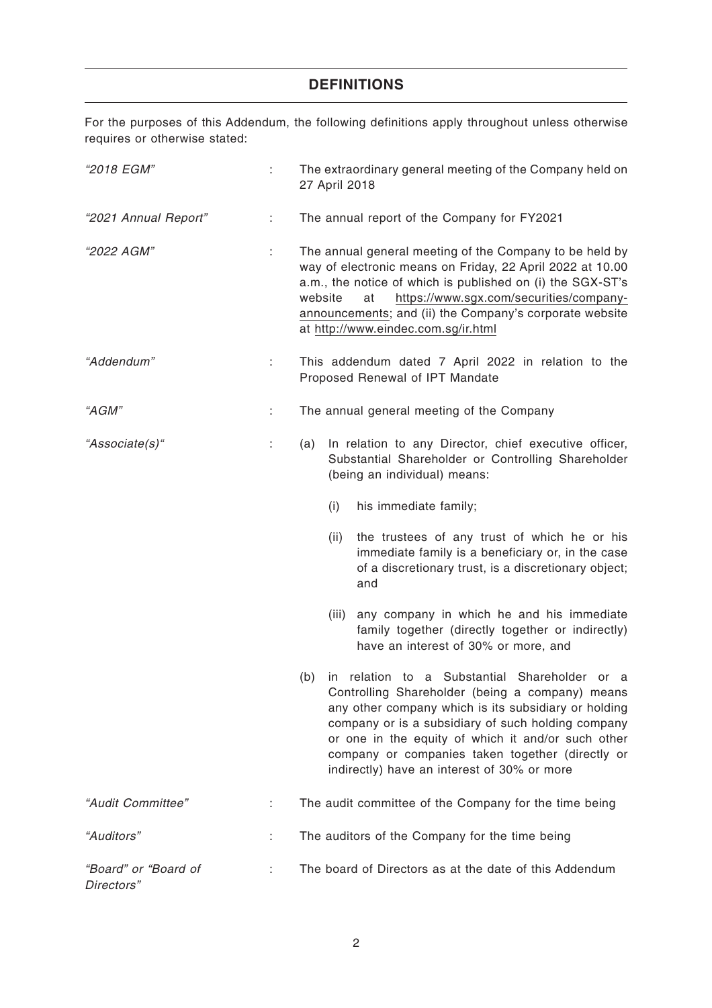## **DEFINITIONS**

For the purposes of this Addendum, the following definitions apply throughout unless otherwise requires or otherwise stated:

| "2018 EGM"                         | t. | The extraordinary general meeting of the Company held on<br>27 April 2018                                                                                                                                                                                                                                                                                                           |  |  |
|------------------------------------|----|-------------------------------------------------------------------------------------------------------------------------------------------------------------------------------------------------------------------------------------------------------------------------------------------------------------------------------------------------------------------------------------|--|--|
| "2021 Annual Report"               | ÷  | The annual report of the Company for FY2021                                                                                                                                                                                                                                                                                                                                         |  |  |
| "2022 AGM"                         | ÷  | The annual general meeting of the Company to be held by<br>way of electronic means on Friday, 22 April 2022 at 10.00<br>a.m., the notice of which is published on (i) the SGX-ST's<br>https://www.sgx.com/securities/company-<br>website<br>at<br>announcements; and (ii) the Company's corporate website<br>at http://www.eindec.com.sg/ir.html                                    |  |  |
| "Addendum"                         | ÷  | This addendum dated 7 April 2022 in relation to the<br>Proposed Renewal of IPT Mandate                                                                                                                                                                                                                                                                                              |  |  |
| "AGM"                              | t. | The annual general meeting of the Company                                                                                                                                                                                                                                                                                                                                           |  |  |
| "Associate(s)"                     | t, | In relation to any Director, chief executive officer,<br>(a)<br>Substantial Shareholder or Controlling Shareholder<br>(being an individual) means:                                                                                                                                                                                                                                  |  |  |
|                                    |    | his immediate family;<br>(i)                                                                                                                                                                                                                                                                                                                                                        |  |  |
|                                    |    | the trustees of any trust of which he or his<br>(ii)<br>immediate family is a beneficiary or, in the case<br>of a discretionary trust, is a discretionary object;<br>and                                                                                                                                                                                                            |  |  |
|                                    |    | any company in which he and his immediate<br>(iii)<br>family together (directly together or indirectly)<br>have an interest of 30% or more, and                                                                                                                                                                                                                                     |  |  |
|                                    |    | in relation to a Substantial Shareholder or<br>(b)<br>- a<br>Controlling Shareholder (being a company) means<br>any other company which is its subsidiary or holding<br>company or is a subsidiary of such holding company<br>or one in the equity of which it and/or such other<br>company or companies taken together (directly or<br>indirectly) have an interest of 30% or more |  |  |
| "Audit Committee"                  | ÷  | The audit committee of the Company for the time being                                                                                                                                                                                                                                                                                                                               |  |  |
| "Auditors"                         |    | The auditors of the Company for the time being                                                                                                                                                                                                                                                                                                                                      |  |  |
| "Board" or "Board of<br>Directors" | ÷  | The board of Directors as at the date of this Addendum                                                                                                                                                                                                                                                                                                                              |  |  |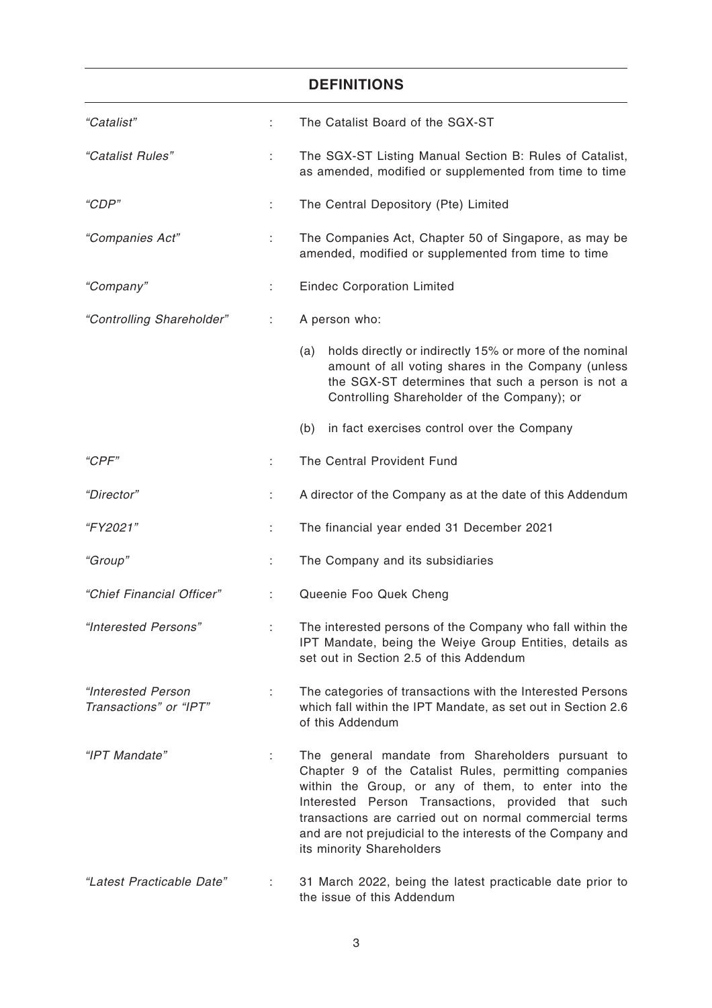| <b>DEFINITIONS</b>                           |    |                                                                                                                                                                                                                                                                                                                                                                                |  |  |
|----------------------------------------------|----|--------------------------------------------------------------------------------------------------------------------------------------------------------------------------------------------------------------------------------------------------------------------------------------------------------------------------------------------------------------------------------|--|--|
| "Catalist"                                   | ÷  | The Catalist Board of the SGX-ST                                                                                                                                                                                                                                                                                                                                               |  |  |
| "Catalist Rules"                             | ÷  | The SGX-ST Listing Manual Section B: Rules of Catalist,<br>as amended, modified or supplemented from time to time                                                                                                                                                                                                                                                              |  |  |
| "CDP"                                        | t. | The Central Depository (Pte) Limited                                                                                                                                                                                                                                                                                                                                           |  |  |
| "Companies Act"                              | ÷. | The Companies Act, Chapter 50 of Singapore, as may be<br>amended, modified or supplemented from time to time                                                                                                                                                                                                                                                                   |  |  |
| "Company"                                    | ÷  | <b>Eindec Corporation Limited</b>                                                                                                                                                                                                                                                                                                                                              |  |  |
| "Controlling Shareholder"                    | ÷  | A person who:                                                                                                                                                                                                                                                                                                                                                                  |  |  |
|                                              |    | holds directly or indirectly 15% or more of the nominal<br>(a)<br>amount of all voting shares in the Company (unless<br>the SGX-ST determines that such a person is not a<br>Controlling Shareholder of the Company); or                                                                                                                                                       |  |  |
|                                              |    | in fact exercises control over the Company<br>(b)                                                                                                                                                                                                                                                                                                                              |  |  |
| "CPF"                                        |    | The Central Provident Fund                                                                                                                                                                                                                                                                                                                                                     |  |  |
| "Director"                                   | ÷  | A director of the Company as at the date of this Addendum                                                                                                                                                                                                                                                                                                                      |  |  |
| <i>"FY2021"</i>                              | İ, | The financial year ended 31 December 2021                                                                                                                                                                                                                                                                                                                                      |  |  |
| "Group"                                      | ÷  | The Company and its subsidiaries                                                                                                                                                                                                                                                                                                                                               |  |  |
| "Chief Financial Officer"                    | ÷. | Queenie Foo Quek Cheng                                                                                                                                                                                                                                                                                                                                                         |  |  |
| "Interested Persons"                         |    | The interested persons of the Company who fall within the<br>IPT Mandate, being the Weiye Group Entities, details as<br>set out in Section 2.5 of this Addendum                                                                                                                                                                                                                |  |  |
| "Interested Person<br>Transactions" or "IPT" |    | The categories of transactions with the Interested Persons<br>which fall within the IPT Mandate, as set out in Section 2.6<br>of this Addendum                                                                                                                                                                                                                                 |  |  |
| "IPT Mandate"                                | ÷  | The general mandate from Shareholders pursuant to<br>Chapter 9 of the Catalist Rules, permitting companies<br>within the Group, or any of them, to enter into the<br>Interested Person Transactions, provided that such<br>transactions are carried out on normal commercial terms<br>and are not prejudicial to the interests of the Company and<br>its minority Shareholders |  |  |
| "Latest Practicable Date"                    |    | 31 March 2022, being the latest practicable date prior to<br>the issue of this Addendum                                                                                                                                                                                                                                                                                        |  |  |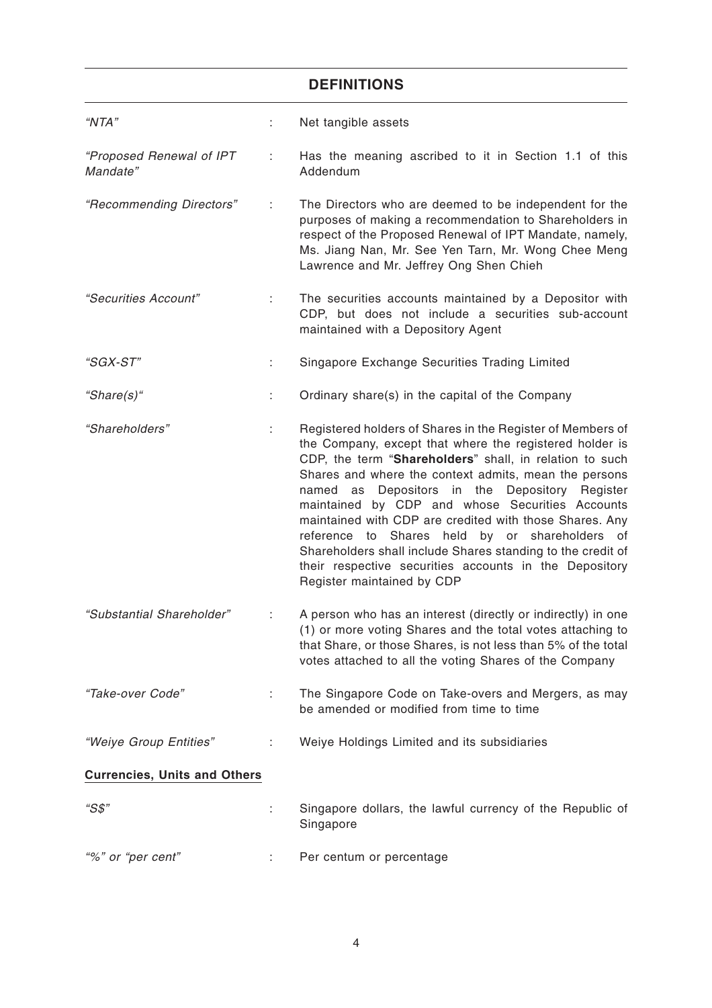# **DEFINITIONS**

| "NTA"                                |    | Net tangible assets                                                                                                                                                                                                                                                                                                                                                                                                                                                                                                                                                                                                      |
|--------------------------------------|----|--------------------------------------------------------------------------------------------------------------------------------------------------------------------------------------------------------------------------------------------------------------------------------------------------------------------------------------------------------------------------------------------------------------------------------------------------------------------------------------------------------------------------------------------------------------------------------------------------------------------------|
| "Proposed Renewal of IPT<br>Mandate" | ÷  | Has the meaning ascribed to it in Section 1.1 of this<br>Addendum                                                                                                                                                                                                                                                                                                                                                                                                                                                                                                                                                        |
| "Recommending Directors"             | ÷. | The Directors who are deemed to be independent for the<br>purposes of making a recommendation to Shareholders in<br>respect of the Proposed Renewal of IPT Mandate, namely,<br>Ms. Jiang Nan, Mr. See Yen Tarn, Mr. Wong Chee Meng<br>Lawrence and Mr. Jeffrey Ong Shen Chieh                                                                                                                                                                                                                                                                                                                                            |
| "Securities Account"                 | ÷. | The securities accounts maintained by a Depositor with<br>CDP, but does not include a securities sub-account<br>maintained with a Depository Agent                                                                                                                                                                                                                                                                                                                                                                                                                                                                       |
| "SGX-ST"                             | ÷  | Singapore Exchange Securities Trading Limited                                                                                                                                                                                                                                                                                                                                                                                                                                                                                                                                                                            |
| "Share(s)"                           | t. | Ordinary share(s) in the capital of the Company                                                                                                                                                                                                                                                                                                                                                                                                                                                                                                                                                                          |
| "Shareholders"                       | ÷. | Registered holders of Shares in the Register of Members of<br>the Company, except that where the registered holder is<br>CDP, the term "Shareholders" shall, in relation to such<br>Shares and where the context admits, mean the persons<br>named as Depositors in the Depository Register<br>maintained by CDP and whose Securities Accounts<br>maintained with CDP are credited with those Shares. Any<br>Shares held by or shareholders of<br>reference<br>to<br>Shareholders shall include Shares standing to the credit of<br>their respective securities accounts in the Depository<br>Register maintained by CDP |
| "Substantial Shareholder"            | ÷  | A person who has an interest (directly or indirectly) in one<br>(1) or more voting Shares and the total votes attaching to<br>that Share, or those Shares, is not less than 5% of the total<br>votes attached to all the voting Shares of the Company                                                                                                                                                                                                                                                                                                                                                                    |
| "Take-over Code"                     | ÷. | The Singapore Code on Take-overs and Mergers, as may<br>be amended or modified from time to time                                                                                                                                                                                                                                                                                                                                                                                                                                                                                                                         |
| "Weiye Group Entities"               | ÷  | Weiye Holdings Limited and its subsidiaries                                                                                                                                                                                                                                                                                                                                                                                                                                                                                                                                                                              |
| <b>Currencies, Units and Others</b>  |    |                                                                                                                                                                                                                                                                                                                                                                                                                                                                                                                                                                                                                          |
| "S\$"                                |    | Singapore dollars, the lawful currency of the Republic of<br>Singapore                                                                                                                                                                                                                                                                                                                                                                                                                                                                                                                                                   |
| "%" or "per cent"                    |    | Per centum or percentage                                                                                                                                                                                                                                                                                                                                                                                                                                                                                                                                                                                                 |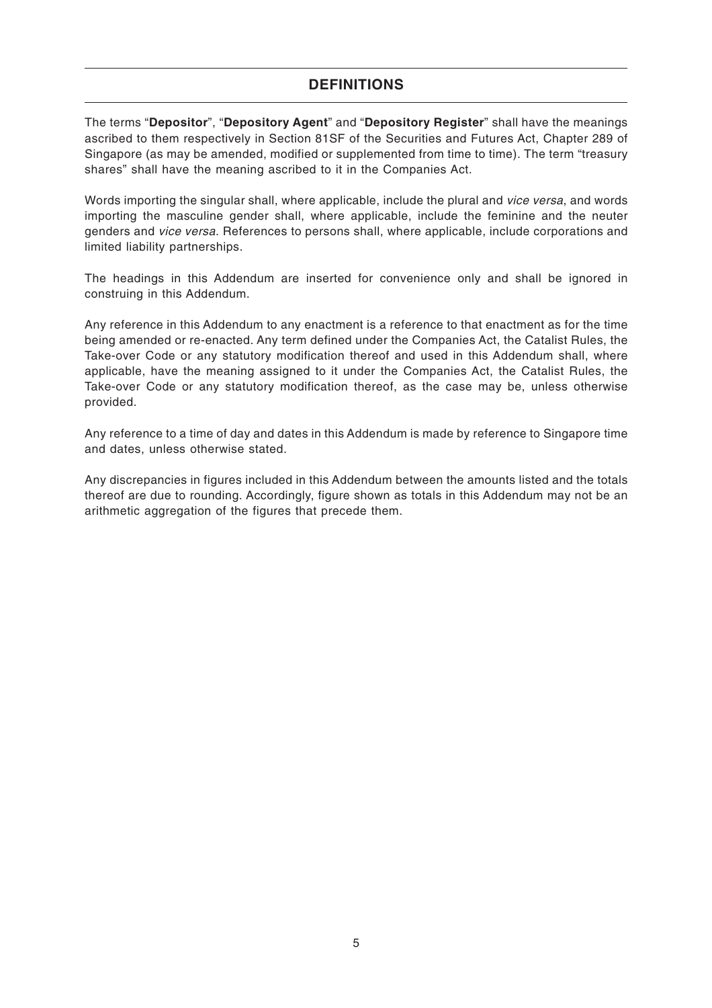## **DEFINITIONS**

The terms "**Depositor**", "**Depository Agent**" and "**Depository Register**" shall have the meanings ascribed to them respectively in Section 81SF of the Securities and Futures Act, Chapter 289 of Singapore (as may be amended, modified or supplemented from time to time). The term "treasury shares" shall have the meaning ascribed to it in the Companies Act.

Words importing the singular shall, where applicable, include the plural and vice versa, and words importing the masculine gender shall, where applicable, include the feminine and the neuter genders and vice versa. References to persons shall, where applicable, include corporations and limited liability partnerships.

The headings in this Addendum are inserted for convenience only and shall be ignored in construing in this Addendum.

Any reference in this Addendum to any enactment is a reference to that enactment as for the time being amended or re-enacted. Any term defined under the Companies Act, the Catalist Rules, the Take-over Code or any statutory modification thereof and used in this Addendum shall, where applicable, have the meaning assigned to it under the Companies Act, the Catalist Rules, the Take-over Code or any statutory modification thereof, as the case may be, unless otherwise provided.

Any reference to a time of day and dates in this Addendum is made by reference to Singapore time and dates, unless otherwise stated.

Any discrepancies in figures included in this Addendum between the amounts listed and the totals thereof are due to rounding. Accordingly, figure shown as totals in this Addendum may not be an arithmetic aggregation of the figures that precede them.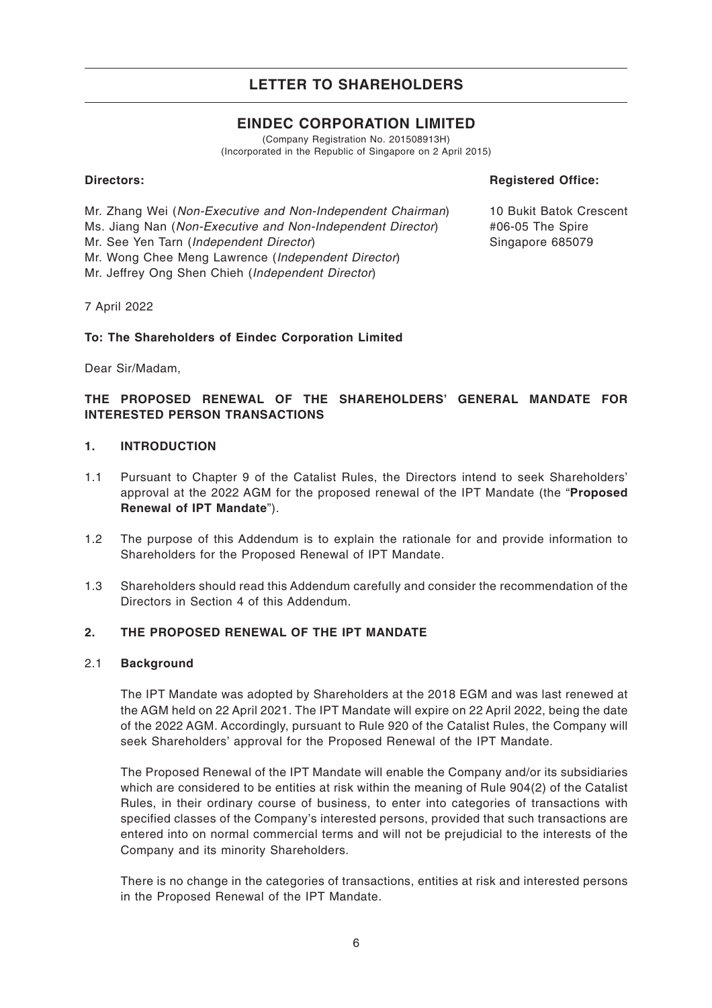## **EINDEC CORPORATION LIMITED**

(Company Registration No. 201508913H) (Incorporated in the Republic of Singapore on 2 April 2015)

## **Directors:**

**Registered Office:**

Mr. Zhang Wei (Non-Executive and Non-Independent Chairman) Ms. Jiang Nan (Non-Executive and Non-Independent Director) Mr. See Yen Tarn (Independent Director) Mr. Wong Chee Meng Lawrence (Independent Director) Mr. Jeffrey Ong Shen Chieh (Independent Director)

10 Bukit Batok Crescent #06-05 The Spire Singapore 685079

7 April 2022

## **To: The Shareholders of Eindec Corporation Limited**

Dear Sir/Madam,

## **THE PROPOSED RENEWAL OF THE SHAREHOLDERS' GENERAL MANDATE FOR INTERESTED PERSON TRANSACTIONS**

## **1. INTRODUCTION**

- 1.1 Pursuant to Chapter 9 of the Catalist Rules, the Directors intend to seek Shareholders' approval at the 2022 AGM for the proposed renewal of the IPT Mandate (the "**Proposed Renewal of IPT Mandate**").
- 1.2 The purpose of this Addendum is to explain the rationale for and provide information to Shareholders for the Proposed Renewal of IPT Mandate.
- 1.3 Shareholders should read this Addendum carefully and consider the recommendation of the Directors in Section 4 of this Addendum.

### **2. THE PROPOSED RENEWAL OF THE IPT MANDATE**

### 2.1 **Background**

The IPT Mandate was adopted by Shareholders at the 2018 EGM and was last renewed at the AGM held on 22 April 2021. The IPT Mandate will expire on 22 April 2022, being the date of the 2022 AGM. Accordingly, pursuant to Rule 920 of the Catalist Rules, the Company will seek Shareholders' approval for the Proposed Renewal of the IPT Mandate.

The Proposed Renewal of the IPT Mandate will enable the Company and/or its subsidiaries which are considered to be entities at risk within the meaning of Rule 904(2) of the Catalist Rules, in their ordinary course of business, to enter into categories of transactions with specified classes of the Company's interested persons, provided that such transactions are entered into on normal commercial terms and will not be prejudicial to the interests of the Company and its minority Shareholders.

There is no change in the categories of transactions, entities at risk and interested persons in the Proposed Renewal of the IPT Mandate.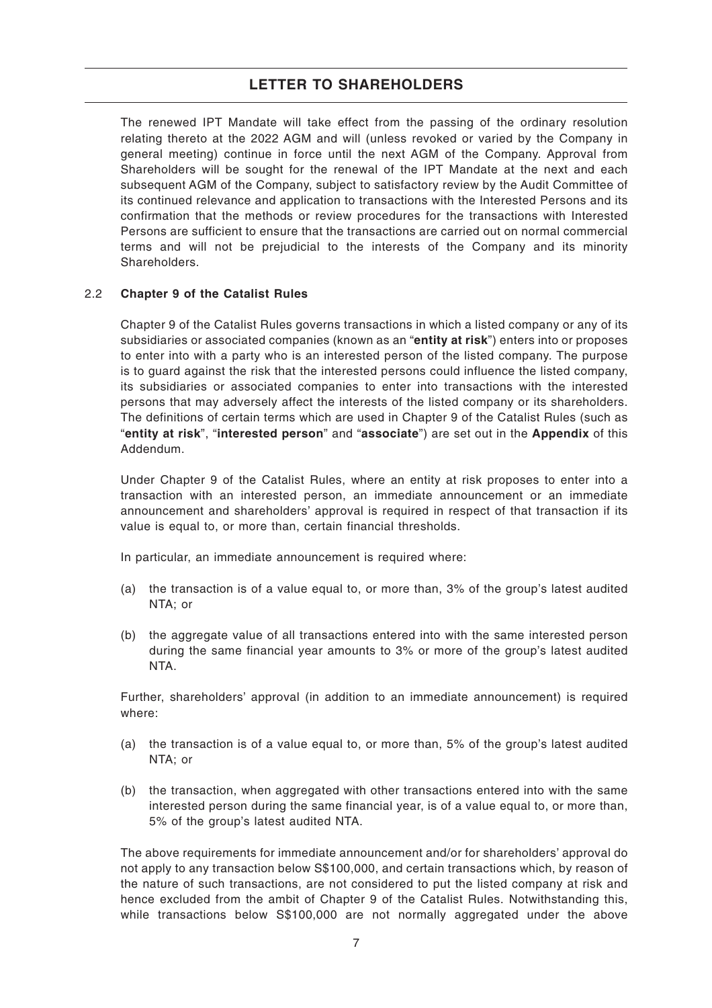The renewed IPT Mandate will take effect from the passing of the ordinary resolution relating thereto at the 2022 AGM and will (unless revoked or varied by the Company in general meeting) continue in force until the next AGM of the Company. Approval from Shareholders will be sought for the renewal of the IPT Mandate at the next and each subsequent AGM of the Company, subject to satisfactory review by the Audit Committee of its continued relevance and application to transactions with the Interested Persons and its confirmation that the methods or review procedures for the transactions with Interested Persons are sufficient to ensure that the transactions are carried out on normal commercial terms and will not be prejudicial to the interests of the Company and its minority Shareholders.

## 2.2 **Chapter 9 of the Catalist Rules**

Chapter 9 of the Catalist Rules governs transactions in which a listed company or any of its subsidiaries or associated companies (known as an "**entity at risk**") enters into or proposes to enter into with a party who is an interested person of the listed company. The purpose is to guard against the risk that the interested persons could influence the listed company, its subsidiaries or associated companies to enter into transactions with the interested persons that may adversely affect the interests of the listed company or its shareholders. The definitions of certain terms which are used in Chapter 9 of the Catalist Rules (such as "**entity at risk**", "**interested person**" and "**associate**") are set out in the **Appendix** of this Addendum.

Under Chapter 9 of the Catalist Rules, where an entity at risk proposes to enter into a transaction with an interested person, an immediate announcement or an immediate announcement and shareholders' approval is required in respect of that transaction if its value is equal to, or more than, certain financial thresholds.

In particular, an immediate announcement is required where:

- (a) the transaction is of a value equal to, or more than, 3% of the group's latest audited NTA; or
- (b) the aggregate value of all transactions entered into with the same interested person during the same financial year amounts to 3% or more of the group's latest audited NTA.

Further, shareholders' approval (in addition to an immediate announcement) is required where:

- (a) the transaction is of a value equal to, or more than, 5% of the group's latest audited NTA; or
- (b) the transaction, when aggregated with other transactions entered into with the same interested person during the same financial year, is of a value equal to, or more than, 5% of the group's latest audited NTA.

The above requirements for immediate announcement and/or for shareholders' approval do not apply to any transaction below S\$100,000, and certain transactions which, by reason of the nature of such transactions, are not considered to put the listed company at risk and hence excluded from the ambit of Chapter 9 of the Catalist Rules. Notwithstanding this, while transactions below S\$100,000 are not normally aggregated under the above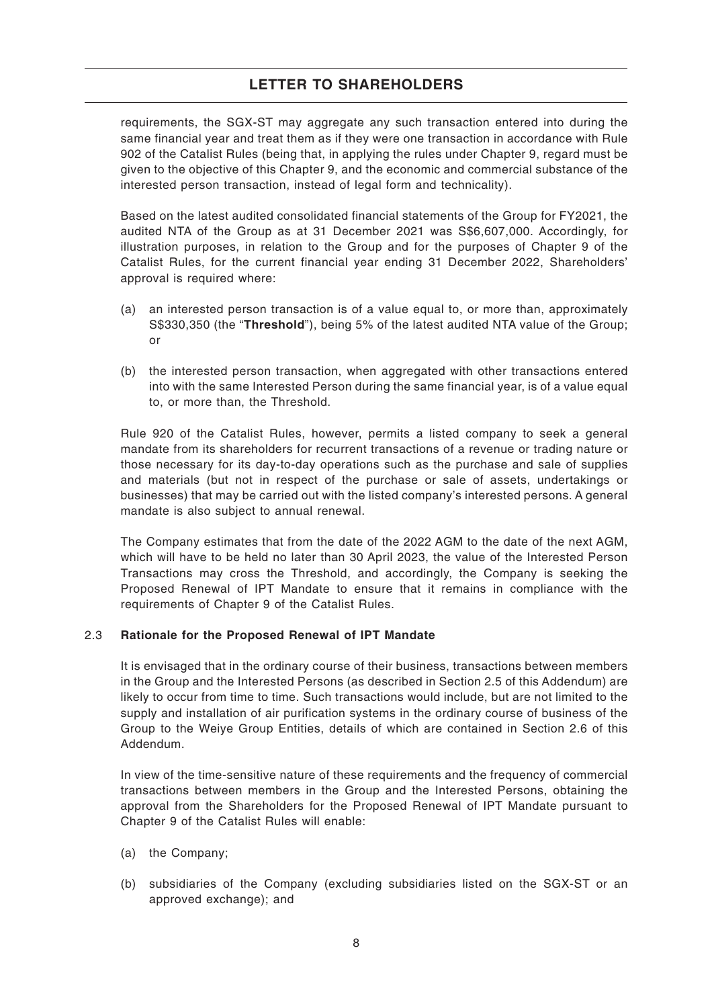requirements, the SGX-ST may aggregate any such transaction entered into during the same financial year and treat them as if they were one transaction in accordance with Rule 902 of the Catalist Rules (being that, in applying the rules under Chapter 9, regard must be given to the objective of this Chapter 9, and the economic and commercial substance of the interested person transaction, instead of legal form and technicality).

Based on the latest audited consolidated financial statements of the Group for FY2021, the audited NTA of the Group as at 31 December 2021 was S\$6,607,000. Accordingly, for illustration purposes, in relation to the Group and for the purposes of Chapter 9 of the Catalist Rules, for the current financial year ending 31 December 2022, Shareholders' approval is required where:

- (a) an interested person transaction is of a value equal to, or more than, approximately S\$330,350 (the "**Threshold**"), being 5% of the latest audited NTA value of the Group; or
- (b) the interested person transaction, when aggregated with other transactions entered into with the same Interested Person during the same financial year, is of a value equal to, or more than, the Threshold.

Rule 920 of the Catalist Rules, however, permits a listed company to seek a general mandate from its shareholders for recurrent transactions of a revenue or trading nature or those necessary for its day-to-day operations such as the purchase and sale of supplies and materials (but not in respect of the purchase or sale of assets, undertakings or businesses) that may be carried out with the listed company's interested persons. A general mandate is also subject to annual renewal.

The Company estimates that from the date of the 2022 AGM to the date of the next AGM, which will have to be held no later than 30 April 2023, the value of the Interested Person Transactions may cross the Threshold, and accordingly, the Company is seeking the Proposed Renewal of IPT Mandate to ensure that it remains in compliance with the requirements of Chapter 9 of the Catalist Rules.

### 2.3 **Rationale for the Proposed Renewal of IPT Mandate**

It is envisaged that in the ordinary course of their business, transactions between members in the Group and the Interested Persons (as described in Section 2.5 of this Addendum) are likely to occur from time to time. Such transactions would include, but are not limited to the supply and installation of air purification systems in the ordinary course of business of the Group to the Weiye Group Entities, details of which are contained in Section 2.6 of this Addendum.

In view of the time-sensitive nature of these requirements and the frequency of commercial transactions between members in the Group and the Interested Persons, obtaining the approval from the Shareholders for the Proposed Renewal of IPT Mandate pursuant to Chapter 9 of the Catalist Rules will enable:

- (a) the Company;
- (b) subsidiaries of the Company (excluding subsidiaries listed on the SGX-ST or an approved exchange); and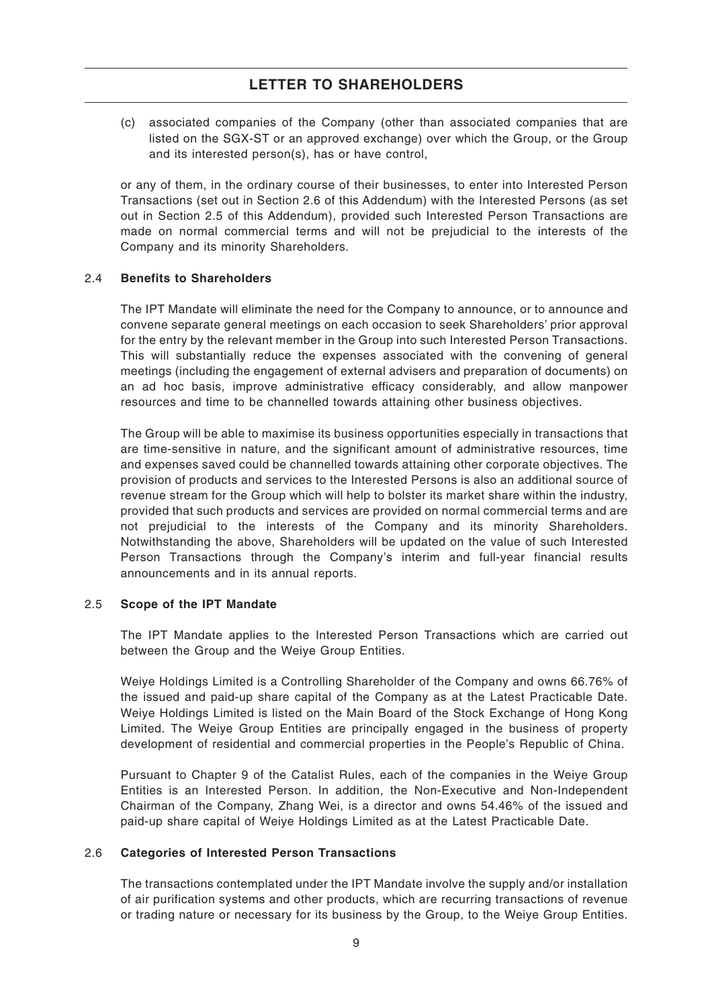(c) associated companies of the Company (other than associated companies that are listed on the SGX-ST or an approved exchange) over which the Group, or the Group and its interested person(s), has or have control,

or any of them, in the ordinary course of their businesses, to enter into Interested Person Transactions (set out in Section 2.6 of this Addendum) with the Interested Persons (as set out in Section 2.5 of this Addendum), provided such Interested Person Transactions are made on normal commercial terms and will not be prejudicial to the interests of the Company and its minority Shareholders.

### 2.4 **Benefits to Shareholders**

The IPT Mandate will eliminate the need for the Company to announce, or to announce and convene separate general meetings on each occasion to seek Shareholders' prior approval for the entry by the relevant member in the Group into such Interested Person Transactions. This will substantially reduce the expenses associated with the convening of general meetings (including the engagement of external advisers and preparation of documents) on an ad hoc basis, improve administrative efficacy considerably, and allow manpower resources and time to be channelled towards attaining other business objectives.

The Group will be able to maximise its business opportunities especially in transactions that are time-sensitive in nature, and the significant amount of administrative resources, time and expenses saved could be channelled towards attaining other corporate objectives. The provision of products and services to the Interested Persons is also an additional source of revenue stream for the Group which will help to bolster its market share within the industry, provided that such products and services are provided on normal commercial terms and are not prejudicial to the interests of the Company and its minority Shareholders. Notwithstanding the above, Shareholders will be updated on the value of such Interested Person Transactions through the Company's interim and full-year financial results announcements and in its annual reports.

### 2.5 **Scope of the IPT Mandate**

The IPT Mandate applies to the Interested Person Transactions which are carried out between the Group and the Weiye Group Entities.

Weiye Holdings Limited is a Controlling Shareholder of the Company and owns 66.76% of the issued and paid-up share capital of the Company as at the Latest Practicable Date. Weiye Holdings Limited is listed on the Main Board of the Stock Exchange of Hong Kong Limited. The Weiye Group Entities are principally engaged in the business of property development of residential and commercial properties in the People's Republic of China.

Pursuant to Chapter 9 of the Catalist Rules, each of the companies in the Weiye Group Entities is an Interested Person. In addition, the Non-Executive and Non-Independent Chairman of the Company, Zhang Wei, is a director and owns 54.46% of the issued and paid-up share capital of Weiye Holdings Limited as at the Latest Practicable Date.

### 2.6 **Categories of Interested Person Transactions**

The transactions contemplated under the IPT Mandate involve the supply and/or installation of air purification systems and other products, which are recurring transactions of revenue or trading nature or necessary for its business by the Group, to the Weiye Group Entities.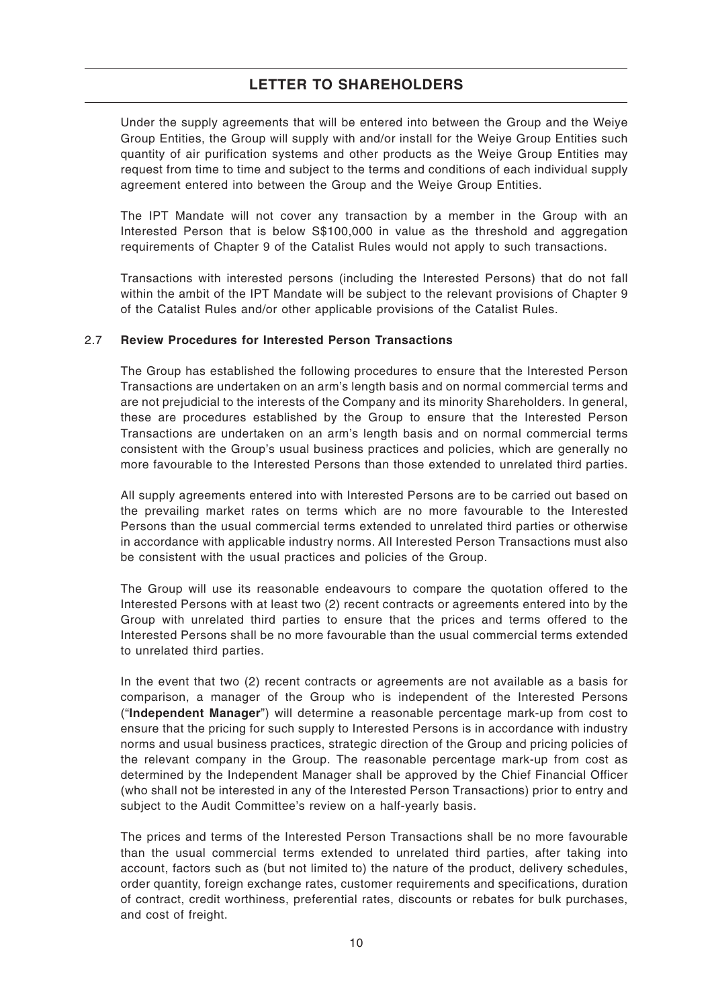Under the supply agreements that will be entered into between the Group and the Weiye Group Entities, the Group will supply with and/or install for the Weiye Group Entities such quantity of air purification systems and other products as the Weiye Group Entities may request from time to time and subject to the terms and conditions of each individual supply agreement entered into between the Group and the Weiye Group Entities.

The IPT Mandate will not cover any transaction by a member in the Group with an Interested Person that is below S\$100,000 in value as the threshold and aggregation requirements of Chapter 9 of the Catalist Rules would not apply to such transactions.

Transactions with interested persons (including the Interested Persons) that do not fall within the ambit of the IPT Mandate will be subject to the relevant provisions of Chapter 9 of the Catalist Rules and/or other applicable provisions of the Catalist Rules.

### 2.7 **Review Procedures for Interested Person Transactions**

The Group has established the following procedures to ensure that the Interested Person Transactions are undertaken on an arm's length basis and on normal commercial terms and are not prejudicial to the interests of the Company and its minority Shareholders. In general, these are procedures established by the Group to ensure that the Interested Person Transactions are undertaken on an arm's length basis and on normal commercial terms consistent with the Group's usual business practices and policies, which are generally no more favourable to the Interested Persons than those extended to unrelated third parties.

All supply agreements entered into with Interested Persons are to be carried out based on the prevailing market rates on terms which are no more favourable to the Interested Persons than the usual commercial terms extended to unrelated third parties or otherwise in accordance with applicable industry norms. All Interested Person Transactions must also be consistent with the usual practices and policies of the Group.

The Group will use its reasonable endeavours to compare the quotation offered to the Interested Persons with at least two (2) recent contracts or agreements entered into by the Group with unrelated third parties to ensure that the prices and terms offered to the Interested Persons shall be no more favourable than the usual commercial terms extended to unrelated third parties.

In the event that two (2) recent contracts or agreements are not available as a basis for comparison, a manager of the Group who is independent of the Interested Persons ("**Independent Manager**") will determine a reasonable percentage mark-up from cost to ensure that the pricing for such supply to Interested Persons is in accordance with industry norms and usual business practices, strategic direction of the Group and pricing policies of the relevant company in the Group. The reasonable percentage mark-up from cost as determined by the Independent Manager shall be approved by the Chief Financial Officer (who shall not be interested in any of the Interested Person Transactions) prior to entry and subject to the Audit Committee's review on a half-yearly basis.

The prices and terms of the Interested Person Transactions shall be no more favourable than the usual commercial terms extended to unrelated third parties, after taking into account, factors such as (but not limited to) the nature of the product, delivery schedules, order quantity, foreign exchange rates, customer requirements and specifications, duration of contract, credit worthiness, preferential rates, discounts or rebates for bulk purchases, and cost of freight.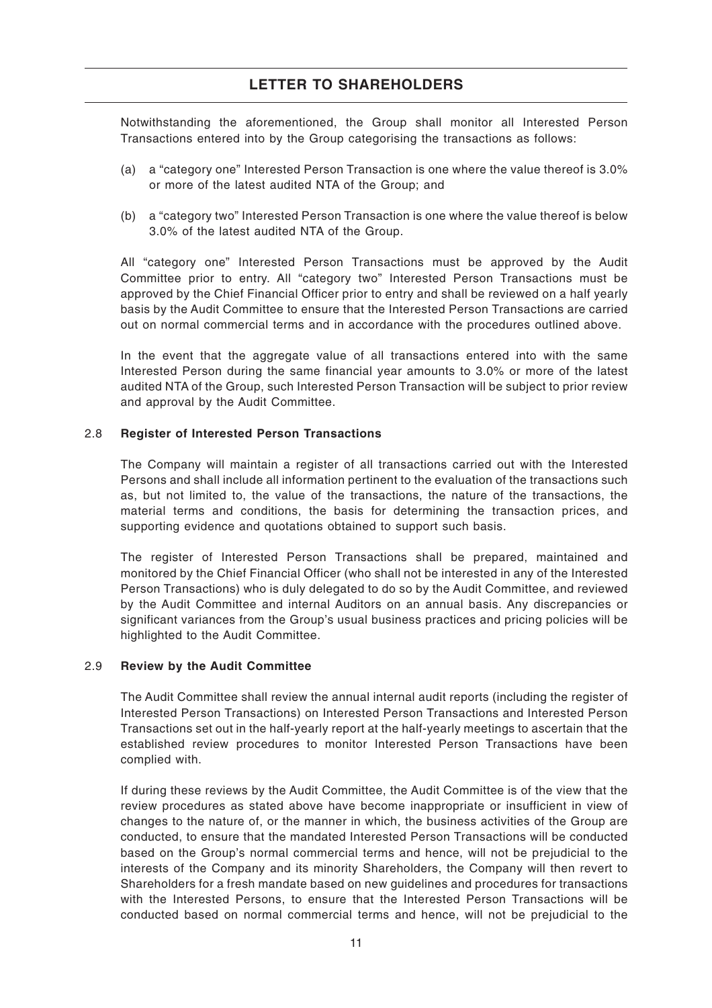Notwithstanding the aforementioned, the Group shall monitor all Interested Person Transactions entered into by the Group categorising the transactions as follows:

- (a) a "category one" Interested Person Transaction is one where the value thereof is 3.0% or more of the latest audited NTA of the Group; and
- (b) a "category two" Interested Person Transaction is one where the value thereof is below 3.0% of the latest audited NTA of the Group.

All "category one" Interested Person Transactions must be approved by the Audit Committee prior to entry. All "category two" Interested Person Transactions must be approved by the Chief Financial Officer prior to entry and shall be reviewed on a half yearly basis by the Audit Committee to ensure that the Interested Person Transactions are carried out on normal commercial terms and in accordance with the procedures outlined above.

In the event that the aggregate value of all transactions entered into with the same Interested Person during the same financial year amounts to 3.0% or more of the latest audited NTA of the Group, such Interested Person Transaction will be subject to prior review and approval by the Audit Committee.

#### 2.8 **Register of Interested Person Transactions**

The Company will maintain a register of all transactions carried out with the Interested Persons and shall include all information pertinent to the evaluation of the transactions such as, but not limited to, the value of the transactions, the nature of the transactions, the material terms and conditions, the basis for determining the transaction prices, and supporting evidence and quotations obtained to support such basis.

The register of Interested Person Transactions shall be prepared, maintained and monitored by the Chief Financial Officer (who shall not be interested in any of the Interested Person Transactions) who is duly delegated to do so by the Audit Committee, and reviewed by the Audit Committee and internal Auditors on an annual basis. Any discrepancies or significant variances from the Group's usual business practices and pricing policies will be highlighted to the Audit Committee.

#### 2.9 **Review by the Audit Committee**

The Audit Committee shall review the annual internal audit reports (including the register of Interested Person Transactions) on Interested Person Transactions and Interested Person Transactions set out in the half-yearly report at the half-yearly meetings to ascertain that the established review procedures to monitor Interested Person Transactions have been complied with.

If during these reviews by the Audit Committee, the Audit Committee is of the view that the review procedures as stated above have become inappropriate or insufficient in view of changes to the nature of, or the manner in which, the business activities of the Group are conducted, to ensure that the mandated Interested Person Transactions will be conducted based on the Group's normal commercial terms and hence, will not be prejudicial to the interests of the Company and its minority Shareholders, the Company will then revert to Shareholders for a fresh mandate based on new guidelines and procedures for transactions with the Interested Persons, to ensure that the Interested Person Transactions will be conducted based on normal commercial terms and hence, will not be prejudicial to the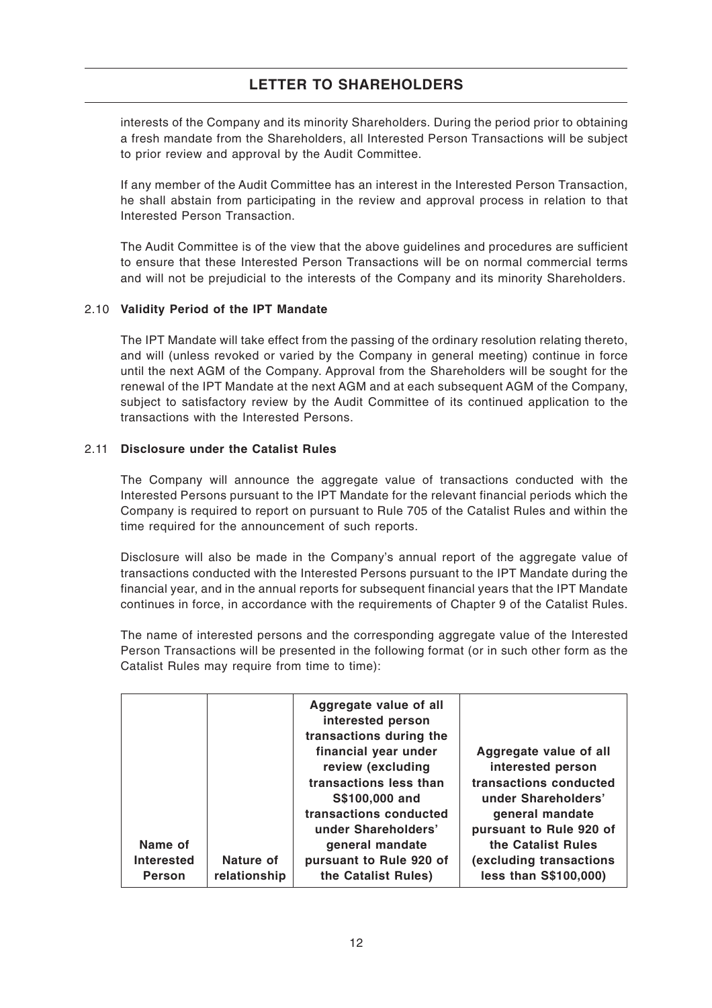interests of the Company and its minority Shareholders. During the period prior to obtaining a fresh mandate from the Shareholders, all Interested Person Transactions will be subject to prior review and approval by the Audit Committee.

If any member of the Audit Committee has an interest in the Interested Person Transaction, he shall abstain from participating in the review and approval process in relation to that Interested Person Transaction.

The Audit Committee is of the view that the above guidelines and procedures are sufficient to ensure that these Interested Person Transactions will be on normal commercial terms and will not be prejudicial to the interests of the Company and its minority Shareholders.

## 2.10 **Validity Period of the IPT Mandate**

The IPT Mandate will take effect from the passing of the ordinary resolution relating thereto, and will (unless revoked or varied by the Company in general meeting) continue in force until the next AGM of the Company. Approval from the Shareholders will be sought for the renewal of the IPT Mandate at the next AGM and at each subsequent AGM of the Company, subject to satisfactory review by the Audit Committee of its continued application to the transactions with the Interested Persons.

### 2.11 **Disclosure under the Catalist Rules**

The Company will announce the aggregate value of transactions conducted with the Interested Persons pursuant to the IPT Mandate for the relevant financial periods which the Company is required to report on pursuant to Rule 705 of the Catalist Rules and within the time required for the announcement of such reports.

Disclosure will also be made in the Company's annual report of the aggregate value of transactions conducted with the Interested Persons pursuant to the IPT Mandate during the financial year, and in the annual reports for subsequent financial years that the IPT Mandate continues in force, in accordance with the requirements of Chapter 9 of the Catalist Rules.

The name of interested persons and the corresponding aggregate value of the Interested Person Transactions will be presented in the following format (or in such other form as the Catalist Rules may require from time to time):

| Name of<br><b>Interested</b> | Nature of    | Aggregate value of all<br>interested person<br>transactions during the<br>financial year under<br>review (excluding<br>transactions less than<br>S\$100,000 and<br>transactions conducted<br>under Shareholders'<br>general mandate<br>pursuant to Rule 920 of | Aggregate value of all<br>interested person<br>transactions conducted<br>under Shareholders'<br>general mandate<br>pursuant to Rule 920 of<br>the Catalist Rules<br>(excluding transactions |
|------------------------------|--------------|----------------------------------------------------------------------------------------------------------------------------------------------------------------------------------------------------------------------------------------------------------------|---------------------------------------------------------------------------------------------------------------------------------------------------------------------------------------------|
| <b>Person</b>                | relationship | the Catalist Rules)                                                                                                                                                                                                                                            | less than S\$100,000)                                                                                                                                                                       |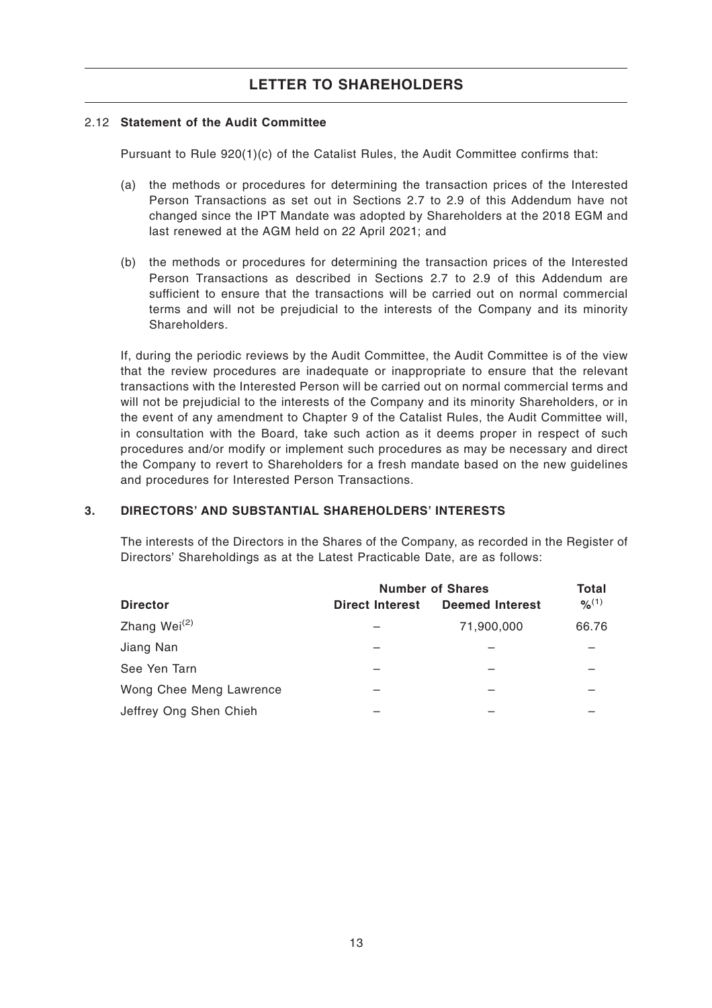## 2.12 **Statement of the Audit Committee**

Pursuant to Rule 920(1)(c) of the Catalist Rules, the Audit Committee confirms that:

- (a) the methods or procedures for determining the transaction prices of the Interested Person Transactions as set out in Sections 2.7 to 2.9 of this Addendum have not changed since the IPT Mandate was adopted by Shareholders at the 2018 EGM and last renewed at the AGM held on 22 April 2021; and
- (b) the methods or procedures for determining the transaction prices of the Interested Person Transactions as described in Sections 2.7 to 2.9 of this Addendum are sufficient to ensure that the transactions will be carried out on normal commercial terms and will not be prejudicial to the interests of the Company and its minority **Shareholders**

If, during the periodic reviews by the Audit Committee, the Audit Committee is of the view that the review procedures are inadequate or inappropriate to ensure that the relevant transactions with the Interested Person will be carried out on normal commercial terms and will not be prejudicial to the interests of the Company and its minority Shareholders, or in the event of any amendment to Chapter 9 of the Catalist Rules, the Audit Committee will, in consultation with the Board, take such action as it deems proper in respect of such procedures and/or modify or implement such procedures as may be necessary and direct the Company to revert to Shareholders for a fresh mandate based on the new guidelines and procedures for Interested Person Transactions.

## **3. DIRECTORS' AND SUBSTANTIAL SHAREHOLDERS' INTERESTS**

The interests of the Directors in the Shares of the Company, as recorded in the Register of Directors' Shareholdings as at the Latest Practicable Date, are as follows:

|                          | <b>Number of Shares</b> |                        | Total       |
|--------------------------|-------------------------|------------------------|-------------|
| <b>Director</b>          | <b>Direct Interest</b>  | <b>Deemed Interest</b> | $9/6^{(1)}$ |
| Zhang Wei <sup>(2)</sup> |                         | 71,900,000             | 66.76       |
| Jiang Nan                |                         |                        |             |
| See Yen Tarn             |                         |                        |             |
| Wong Chee Meng Lawrence  |                         |                        |             |
| Jeffrey Ong Shen Chieh   |                         |                        |             |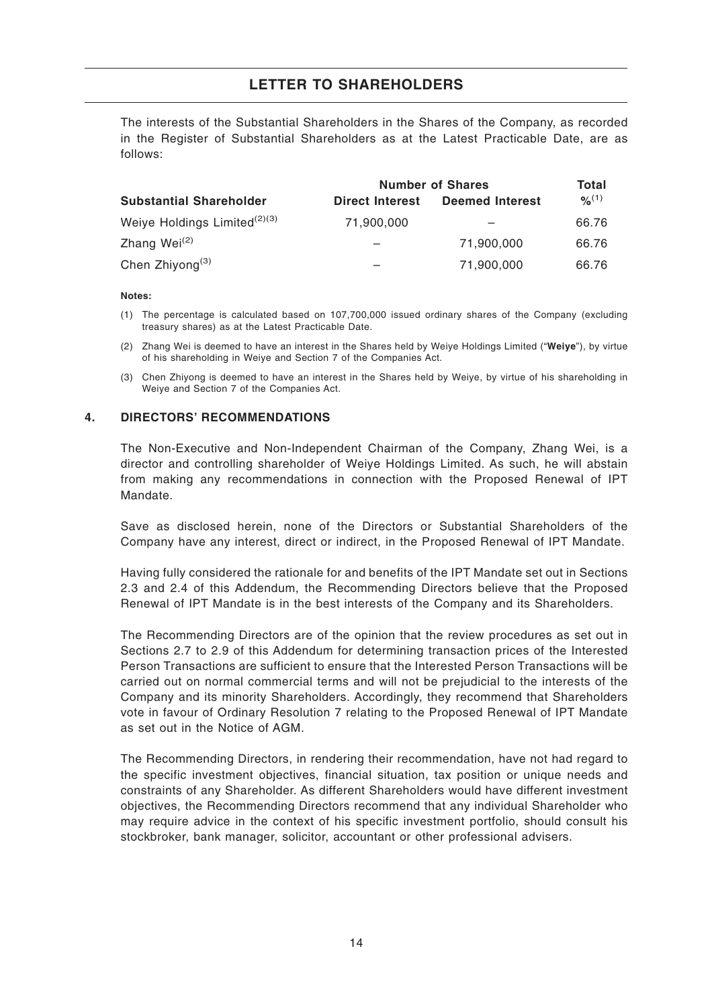The interests of the Substantial Shareholders in the Shares of the Company, as recorded in the Register of Substantial Shareholders as at the Latest Practicable Date, are as follows:

|                                          | <b>Number of Shares</b> | Total                  |             |
|------------------------------------------|-------------------------|------------------------|-------------|
| <b>Substantial Shareholder</b>           | <b>Direct Interest</b>  | <b>Deemed Interest</b> | $9/6^{(1)}$ |
| Weiye Holdings Limited <sup>(2)(3)</sup> | 71,900,000              |                        | 66.76       |
| Zhang Wei <sup>(2)</sup>                 |                         | 71,900,000             | 66.76       |
| Chen Zhiyong <sup>(3)</sup>              |                         | 71,900,000             | 66.76       |

#### **Notes:**

- (1) The percentage is calculated based on 107,700,000 issued ordinary shares of the Company (excluding treasury shares) as at the Latest Practicable Date.
- (2) Zhang Wei is deemed to have an interest in the Shares held by Weiye Holdings Limited ("**Weiye**"), by virtue of his shareholding in Weiye and Section 7 of the Companies Act.
- (3) Chen Zhiyong is deemed to have an interest in the Shares held by Weiye, by virtue of his shareholding in Weiye and Section 7 of the Companies Act.

### **4. DIRECTORS' RECOMMENDATIONS**

The Non-Executive and Non-Independent Chairman of the Company, Zhang Wei, is a director and controlling shareholder of Weiye Holdings Limited. As such, he will abstain from making any recommendations in connection with the Proposed Renewal of IPT Mandate.

Save as disclosed herein, none of the Directors or Substantial Shareholders of the Company have any interest, direct or indirect, in the Proposed Renewal of IPT Mandate.

Having fully considered the rationale for and benefits of the IPT Mandate set out in Sections 2.3 and 2.4 of this Addendum, the Recommending Directors believe that the Proposed Renewal of IPT Mandate is in the best interests of the Company and its Shareholders.

The Recommending Directors are of the opinion that the review procedures as set out in Sections 2.7 to 2.9 of this Addendum for determining transaction prices of the Interested Person Transactions are sufficient to ensure that the Interested Person Transactions will be carried out on normal commercial terms and will not be prejudicial to the interests of the Company and its minority Shareholders. Accordingly, they recommend that Shareholders vote in favour of Ordinary Resolution 7 relating to the Proposed Renewal of IPT Mandate as set out in the Notice of AGM.

The Recommending Directors, in rendering their recommendation, have not had regard to the specific investment objectives, financial situation, tax position or unique needs and constraints of any Shareholder. As different Shareholders would have different investment objectives, the Recommending Directors recommend that any individual Shareholder who may require advice in the context of his specific investment portfolio, should consult his stockbroker, bank manager, solicitor, accountant or other professional advisers.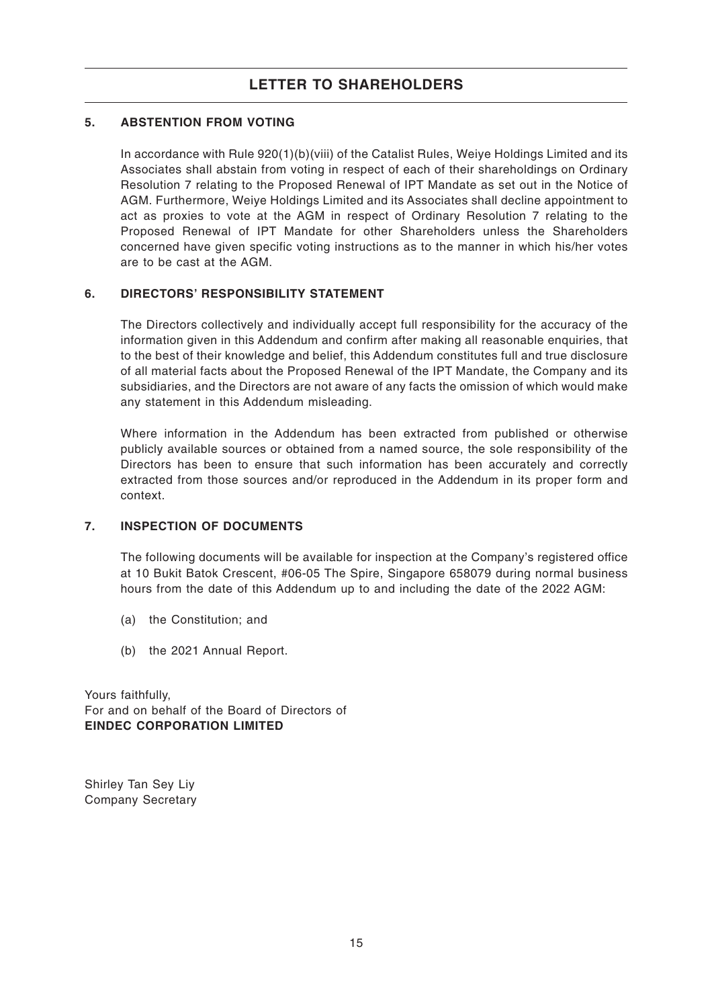## **5. ABSTENTION FROM VOTING**

In accordance with Rule 920(1)(b)(viii) of the Catalist Rules, Weiye Holdings Limited and its Associates shall abstain from voting in respect of each of their shareholdings on Ordinary Resolution 7 relating to the Proposed Renewal of IPT Mandate as set out in the Notice of AGM. Furthermore, Weiye Holdings Limited and its Associates shall decline appointment to act as proxies to vote at the AGM in respect of Ordinary Resolution 7 relating to the Proposed Renewal of IPT Mandate for other Shareholders unless the Shareholders concerned have given specific voting instructions as to the manner in which his/her votes are to be cast at the AGM.

### **6. DIRECTORS' RESPONSIBILITY STATEMENT**

The Directors collectively and individually accept full responsibility for the accuracy of the information given in this Addendum and confirm after making all reasonable enquiries, that to the best of their knowledge and belief, this Addendum constitutes full and true disclosure of all material facts about the Proposed Renewal of the IPT Mandate, the Company and its subsidiaries, and the Directors are not aware of any facts the omission of which would make any statement in this Addendum misleading.

Where information in the Addendum has been extracted from published or otherwise publicly available sources or obtained from a named source, the sole responsibility of the Directors has been to ensure that such information has been accurately and correctly extracted from those sources and/or reproduced in the Addendum in its proper form and context.

## **7. INSPECTION OF DOCUMENTS**

The following documents will be available for inspection at the Company's registered office at 10 Bukit Batok Crescent, #06-05 The Spire, Singapore 658079 during normal business hours from the date of this Addendum up to and including the date of the 2022 AGM:

- (a) the Constitution; and
- (b) the 2021 Annual Report.

Yours faithfully, For and on behalf of the Board of Directors of **EINDEC CORPORATION LIMITED**

Shirley Tan Sey Liy Company Secretary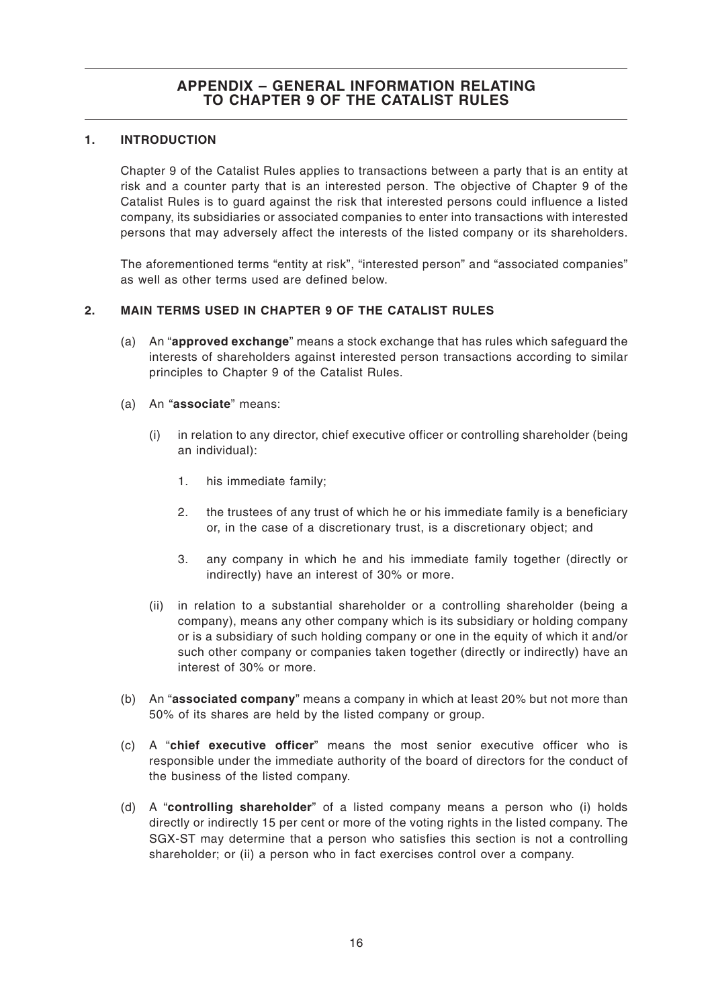## **APPENDIX – GENERAL INFORMATION RELATING TO CHAPTER 9 OF THE CATALIST RULES**

## **1. INTRODUCTION**

Chapter 9 of the Catalist Rules applies to transactions between a party that is an entity at risk and a counter party that is an interested person. The objective of Chapter 9 of the Catalist Rules is to guard against the risk that interested persons could influence a listed company, its subsidiaries or associated companies to enter into transactions with interested persons that may adversely affect the interests of the listed company or its shareholders.

The aforementioned terms "entity at risk", "interested person" and "associated companies" as well as other terms used are defined below.

## **2. MAIN TERMS USED IN CHAPTER 9 OF THE CATALIST RULES**

- (a) An "**approved exchange**" means a stock exchange that has rules which safeguard the interests of shareholders against interested person transactions according to similar principles to Chapter 9 of the Catalist Rules.
- (a) An "**associate**" means:
	- (i) in relation to any director, chief executive officer or controlling shareholder (being an individual):
		- 1. his immediate family;
		- 2. the trustees of any trust of which he or his immediate family is a beneficiary or, in the case of a discretionary trust, is a discretionary object; and
		- 3. any company in which he and his immediate family together (directly or indirectly) have an interest of 30% or more.
	- (ii) in relation to a substantial shareholder or a controlling shareholder (being a company), means any other company which is its subsidiary or holding company or is a subsidiary of such holding company or one in the equity of which it and/or such other company or companies taken together (directly or indirectly) have an interest of 30% or more.
- (b) An "**associated company**" means a company in which at least 20% but not more than 50% of its shares are held by the listed company or group.
- (c) A "**chief executive officer**" means the most senior executive officer who is responsible under the immediate authority of the board of directors for the conduct of the business of the listed company.
- (d) A "**controlling shareholder**" of a listed company means a person who (i) holds directly or indirectly 15 per cent or more of the voting rights in the listed company. The SGX-ST may determine that a person who satisfies this section is not a controlling shareholder; or (ii) a person who in fact exercises control over a company.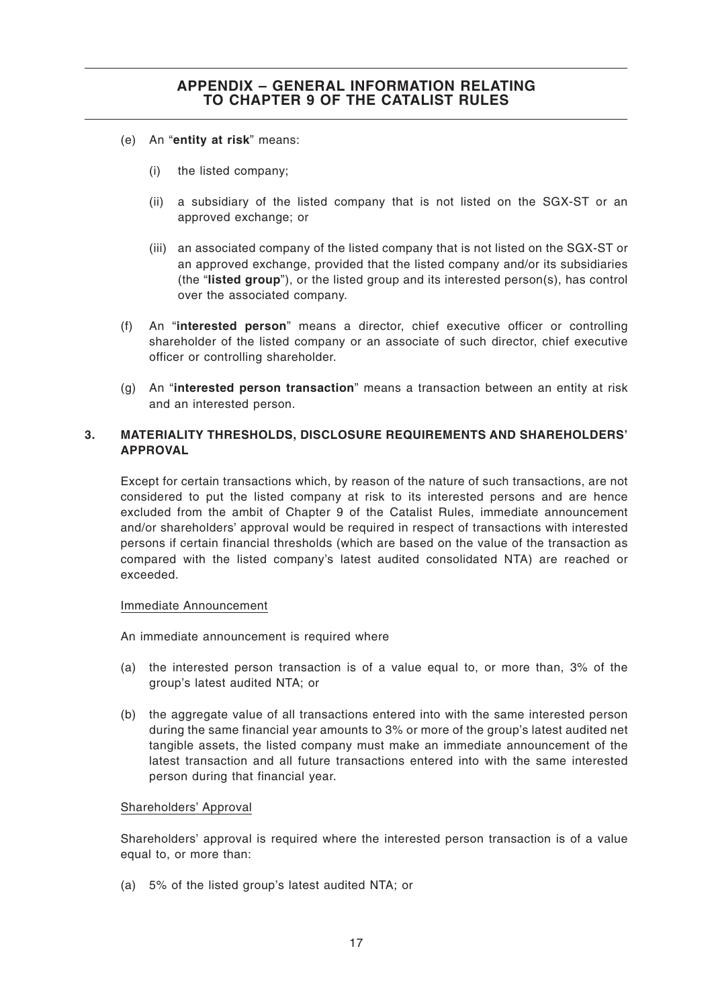- (e) An "**entity at risk**" means:
	- (i) the listed company;
	- (ii) a subsidiary of the listed company that is not listed on the SGX-ST or an approved exchange; or
	- (iii) an associated company of the listed company that is not listed on the SGX-ST or an approved exchange, provided that the listed company and/or its subsidiaries (the "**listed group**"), or the listed group and its interested person(s), has control over the associated company.
- (f) An "**interested person**" means a director, chief executive officer or controlling shareholder of the listed company or an associate of such director, chief executive officer or controlling shareholder.
- (g) An "**interested person transaction**" means a transaction between an entity at risk and an interested person.

## **3. MATERIALITY THRESHOLDS, DISCLOSURE REQUIREMENTS AND SHAREHOLDERS' APPROVAL**

Except for certain transactions which, by reason of the nature of such transactions, are not considered to put the listed company at risk to its interested persons and are hence excluded from the ambit of Chapter 9 of the Catalist Rules, immediate announcement and/or shareholders' approval would be required in respect of transactions with interested persons if certain financial thresholds (which are based on the value of the transaction as compared with the listed company's latest audited consolidated NTA) are reached or exceeded.

### Immediate Announcement

An immediate announcement is required where

- (a) the interested person transaction is of a value equal to, or more than, 3% of the group's latest audited NTA; or
- (b) the aggregate value of all transactions entered into with the same interested person during the same financial year amounts to 3% or more of the group's latest audited net tangible assets, the listed company must make an immediate announcement of the latest transaction and all future transactions entered into with the same interested person during that financial year.

### Shareholders' Approval

Shareholders' approval is required where the interested person transaction is of a value equal to, or more than:

(a) 5% of the listed group's latest audited NTA; or